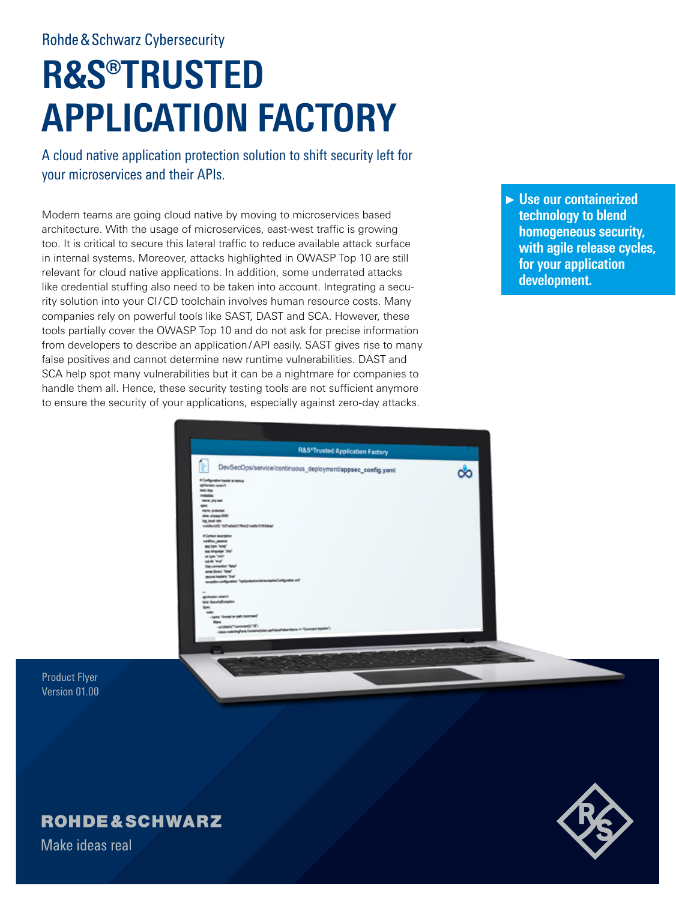**Rohde & Schwarz Cybersecurity** 

# **R&S®TRUSTED APPLICATION FACTORY**

A cloud native application protection solution to shift security left for your microservices and their APIs.

Modern teams are going cloud native by moving to microservices based architecture. With the usage of microservices, east-west traffic is growing too. It is critical to secure this lateral traffic to reduce available attack surface in internal systems. Moreover, attacks highlighted in OWASP Top 10 are still relevant for cloud native applications. In addition, some underrated attacks like credential stuffing also need to be taken into account. Integrating a security solution into your CI/CD toolchain involves human resource costs. Many companies rely on powerful tools like SAST, DAST and SCA. However, these tools partially cover the OWASP Top 10 and do not ask for precise information from developers to describe an application/API easily. SAST gives rise to many false positives and cannot determine new runtime vulnerabilities. DAST and SCA help spot many vulnerabilities but it can be a nightmare for companies to handle them all. Hence, these security testing tools are not sufficient anymore to ensure the security of your applications, especially against zero-day attacks.

►**Use our containerized technology to blend homogeneous security, with agile release cycles, for your application development.**

| <b>R&amp;S*Trusted Application Factory</b>                                                            |  |
|-------------------------------------------------------------------------------------------------------|--|
| s<br>DevSecOps/service/continuous_deployment/appsec_config.yaml<br>If Configuration loaded at startup |  |
| <b>Aphleton nowling</b>                                                                               |  |
| lint Ave                                                                                              |  |
| retales                                                                                               |  |
| name: php.leat                                                                                        |  |
| spac:                                                                                                 |  |
| nana potected                                                                                         |  |
| alias: phpapp 8080<br>ing level into                                                                  |  |
| voldovUD: "(d)"cala421764c21cable12153duar                                                            |  |
| # Contact description                                                                                 |  |
| workfox, paramet                                                                                      |  |
| <b><i>assistant</i></b>                                                                               |  |
| assimpage 'shy'                                                                                       |  |
| on look "unit"                                                                                        |  |
| saids 'true'                                                                                          |  |
| Viet-sonrection: Take <sup>*</sup>                                                                    |  |
| enal.linery Take"<br>securities from                                                                  |  |
| exception configuration. Topolprotection/echanise/configuration.org/                                  |  |
|                                                                                                       |  |
| $\sim$                                                                                                |  |
| <b>Netto Relavidae</b>                                                                                |  |
| and SecurityException                                                                                 |  |
| Spec.                                                                                                 |  |
| sules:                                                                                                |  |
| - name: 'Accept on path icommand'                                                                     |  |
| <b>Sharts</b><br>-stilled/"same#(F)")                                                                 |  |
| -taken matching/farts Contains/color partitional/attaching on "Constant Injection")                   |  |

Product Flyer Version 01.00

# **ROHDE&SCHWARZ**

Make ideas real